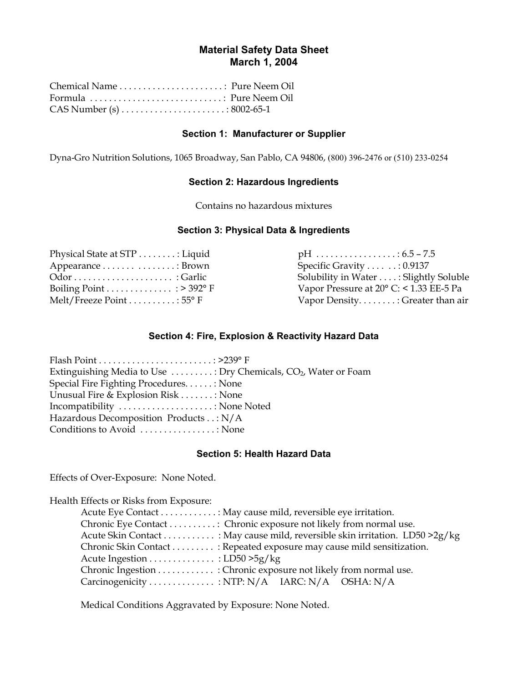# **Material Safety Data Sheet March 1, 2004**

| Formula  Pure Neem Oil                                            |  |
|-------------------------------------------------------------------|--|
| $CAS$ Number (s) $\dots\dots\dots\dots\dots\dots\dots: 8002-65-1$ |  |

#### **Section 1: Manufacturer or Supplier**

Dyna-Gro Nutrition Solutions, 1065 Broadway, San Pablo, CA 94806, (800) 396-2476 or (510) 233-0254

# **Section 2: Hazardous Ingredients**

Contains no hazardous mixtures

#### **Section 3: Physical Data & Ingredients**

| Physical State at STP Liquid                                            |                                         |
|-------------------------------------------------------------------------|-----------------------------------------|
| Appearance Brown                                                        | Specific Gravity 0.9137                 |
| $\text{Odor}\dots\dots\dots\dots\dots\dots\dots\dots\dots\text{Garlic}$ | Solubility in Water : Slightly Soluble  |
|                                                                         | Vapor Pressure at 20° C: < 1.33 EE-5 Pa |
| Melt/Freeze Point $\dots\dots\dots\ldots\ldots\ldots$                   | Vapor Density: Greater than air         |

## **Section 4: Fire, Explosion & Reactivity Hazard Data**

| Extinguishing Media to Use : Dry Chemicals, CO <sub>2</sub> , Water or Foam |  |
|-----------------------------------------------------------------------------|--|
| Special Fire Fighting Procedures. : None                                    |  |
| Unusual Fire & Explosion Risk : None                                        |  |
| Incompatibility  None Noted                                                 |  |
| Hazardous Decomposition Products : N/A                                      |  |
| Conditions to Avoid  None                                                   |  |

#### **Section 5: Health Hazard Data**

Effects of Over-Exposure: None Noted.

Health Effects or Risks from Exposure:

|                                 | Acute Eye Contact May cause mild, reversible eye irritation.         |
|---------------------------------|----------------------------------------------------------------------|
|                                 | Chronic Eye Contact Chronic exposure not likely from normal use.     |
|                                 |                                                                      |
|                                 | Chronic Skin Contact Repeated exposure may cause mild sensitization. |
| Acute Ingestion 1 LD50 $>5g/kg$ |                                                                      |
|                                 | Chronic Ingestion Chronic exposure not likely from normal use.       |
|                                 |                                                                      |

Medical Conditions Aggravated by Exposure: None Noted.